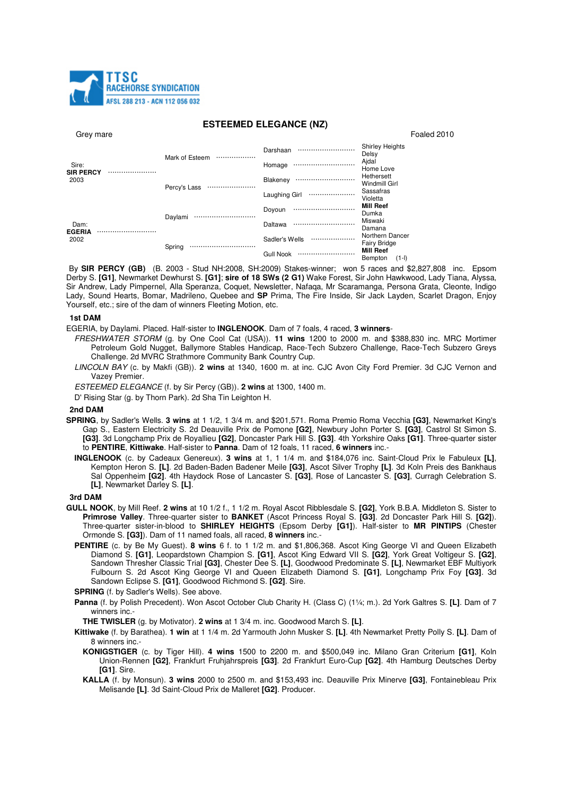

## **ESTEEMED ELEGANCE (NZ)**

| Grey mare |
|-----------|
|-----------|

| Grey mare                      |                    |                      | Foaled 2010                              |
|--------------------------------|--------------------|----------------------|------------------------------------------|
| Sire:<br>SIR PERCY<br><br>2003 | Mark of Esteem<br> | Darshaan<br>         | <b>Shirley Heights</b><br>Delsy          |
|                                |                    | Homage               | Ajdal<br>Home Love                       |
|                                | Percy's Lass<br>   | Blakeney<br>         | Hethersett<br>Windmill Girl              |
|                                |                    | Laughing Girl<br>    | Sassafras<br>Violetta                    |
| Dam:<br>EGERIA<br>2002         | Daylami<br>        | Doyoun<br>           | <b>Mill Reef</b><br>Dumka                |
|                                |                    | Daltawa              | Miswaki<br>Damana                        |
|                                | Spring<br>         | Sadler's Wells<br>   | Northern Dancer<br><b>Fairy Bridge</b>   |
|                                |                    | <b>Gull Nook</b><br> | <b>Mill Reef</b><br>$(1 - 1)$<br>Remnton |

By SIR PERCY (GB) (B. 2003 - Stud NH:2008, SH:2009) Stakes-winner; won 5 races and \$2,827,808 inc. Epsom Derby S. [G1], Newmarket Dewhurst S. [G1]; sire of 18 SWs (2 G1) Wake Forest, Sir John Hawkwood, Lady Tiana, Alyssa, Sir Andrew, Lady Pimpernel, Alla Speranza, Coquet, Newsletter, Nafaga, Mr Scaramanga, Persona Grata, Cleonte, Indigo Lady, Sound Hearts, Bomar, Madrileno, Quebee and SP Prima, The Fire Inside, Sir Jack Layden, Scarlet Dragon, Enjoy Yourself, etc.; sire of the dam of winners Fleeting Motion, etc.

## 1st DAM

EGERIA, by Davlami, Placed, Half-sister to **INGLENOOK**, Dam of 7 foals, 4 raced, 3 winners-

- FRESHWATER STORM (g. by One Cool Cat (USA)). 11 wins 1200 to 2000 m. and \$388,830 inc. MRC Mortimer Petroleum Gold Nugget, Ballymore Stables Handicap, Race-Tech Subzero Challenge, Race-Tech Subzero Greys Challenge. 2d MVRC Strathmore Community Bank Country Cup.
- LINCOLN BAY (c. by Makfi (GB)). 2 wins at 1340, 1600 m. at inc. CJC Avon City Ford Premier. 3d CJC Vernon and Vazev Premier.
- ESTEEMED ELEGANCE (f. by Sir Percy (GB)). 2 wins at 1300, 1400 m.
- D' Rising Star (g. by Thorn Park). 2d Sha Tin Leighton H.

## 2nd DAM

- SPRING, by Sadler's Wells. 3 wins at 1 1/2, 1 3/4 m. and \$201,571. Roma Premio Roma Vecchia [G3], Newmarket King's Gap S., Eastern Electricity S. 2d Deauville Prix de Pomone [G2], Newbury John Porter S. [G3], Castrol St Simon S. [G3]. 3d Longchamp Prix de Royallieu [G2], Doncaster Park Hill S. [G3]. 4th Yorkshire Oaks [G1]. Three-quarter sister to PENTIRE, Kittiwake. Half-sister to Panna. Dam of 12 foals, 11 raced, 6 winners inc.-
	- INGLENOOK (c. by Cadeaux Genereux). 3 wins at 1, 1 1/4 m. and \$184,076 inc. Saint-Cloud Prix le Fabuleux [L], Kempton Heron S. [L]. 2d Baden-Baden Badener Meile [G3], Ascot Silver Trophy [L]. 3d Koln Preis des Bankhaus Sal Oppenheim [G2]. 4th Haydock Rose of Lancaster S. [G3], Rose of Lancaster S. [G3], Curragh Celebration S. [L], Newmarket Darley S. [L].

#### 3rd DAM

- GULL NOOK, by Mill Reef. 2 wins at 10 1/2 f., 1 1/2 m. Royal Ascot Ribblesdale S. [G2], York B.B.A. Middleton S. Sister to Primrose Valley. Three-quarter sister to BANKET (Ascot Princess Royal S. [G3]. 2d Doncaster Park Hill S. [G2]). Three-quarter sister-in-blood to SHIRLEY HEIGHTS (Epsom Derby [G1]). Half-sister to MR PINTIPS (Chester Ormonde S. [G3]). Dam of 11 named foals, all raced, 8 winners inc.-
	- PENTIRE (c. by Be My Guest). 8 wins 6 f. to 1 1/2 m. and \$1,806,368. Ascot King George VI and Queen Elizabeth Diamond S. [G1]. Leopardstown Champion S. [G1]. Ascot King Edward VII S. [G2]. York Great Voltigeur S. [G2]. Sandown Thresher Classic Trial [G3], Chester Dee S. [L], Goodwood Predominate S. [L], Newmarket EBF Multiyork Fulbourn S. 2d Ascot King George VI and Queen Elizabeth Diamond S. [G1], Longchamp Prix Foy [G3]. 3d Sandown Eclipse S. [G1], Goodwood Richmond S. [G2]. Sire.

**SPRING** (f. by Sadler's Wells). See above.

Panna (f. by Polish Precedent). Won Ascot October Club Charity H. (Class C) (1¼; m.). 2d York Galtres S. [L]. Dam of 7 winners inc.-

THE TWISLER (g. by Motivator). 2 wins at 1 3/4 m. inc. Goodwood March S. [L].

- Kittiwake (f. by Barathea). 1 win at 1 1/4 m. 2d Yarmouth John Musker S. [L]. 4th Newmarket Pretty Polly S. [L]. Dam of 8 winners inc.-
	- KONIGSTIGER (c. by Tiger Hill). 4 wins 1500 to 2200 m. and \$500,049 inc. Milano Gran Criterium [G1], Koln Union-Rennen [G2], Frankfurt Fruhjahrspreis [G3]. 2d Frankfurt Euro-Cup [G2]. 4th Hamburg Deutsches Derby [G1]. Sire.
	- KALLA (f. by Monsun), 3 wins 2000 to 2500 m, and \$153,493 inc. Deauville Prix Minerve [G3]. Fontainebleau Prix Melisande ILI. 3d Saint-Cloud Prix de Malleret IG21. Producer.